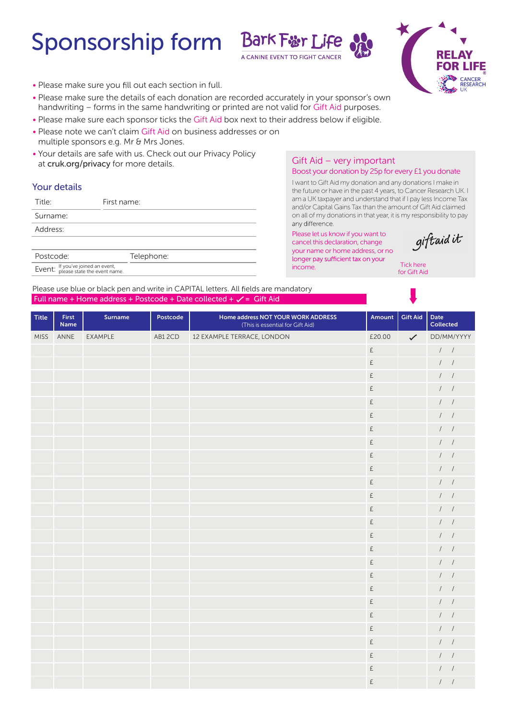# Sponsorship form Bark Fur Life





- Please make sure you fill out each section in full.
- Please make sure the details of each donation are recorded accurately in your sponsor's own handwriting – forms in the same handwriting or printed are not valid for Gift Aid purposes.
- Please make sure each sponsor ticks the Gift Aid box next to their address below if eligible.
- Please note we can't claim Gift Aid on business addresses or on multiple sponsors e.g. Mr & Mrs Jones.
- Your details are safe with us. Check out our Privacy Policy at cruk.org/privacy for more details.

## Your details

| Title:                                                                   | First name: |
|--------------------------------------------------------------------------|-------------|
| Surname:                                                                 |             |
| Address:                                                                 |             |
|                                                                          |             |
| Postcode:                                                                | Telephone:  |
| Event: If you've joined an event,<br>Event: please state the event name. |             |

## Gift Aid – very important

#### Boost your donation by 25p for every £1 you donate

I want to Gift Aid my donation and any donations I make in the future or have in the past 4 years, to Cancer Research UK. I am a UK taxpayer and understand that if I pay less Income Tax and/or Capital Gains Tax than the amount of Gift Aid claimed on all of my donations in that year, it is my responsibility to pay any difference.

Please let us know if you want to cancel this declaration, change your name or home address, or no longer pay sufficient tax on your income.



Tick here for Gift Aid

Please use blue or black pen and write in CAPITAL letters. All fields are mandatory Full name + Home address + Postcode + Date collected +  $\checkmark$  = Gift Aid

| <b>Title</b> | First<br>Name | Surname | Postcode | Home address NOT YOUR WORK ADDRESS<br>(This is essential for Gift Aid) | Amount                                              | <b>Gift Aid</b> | Date<br>Collected      |
|--------------|---------------|---------|----------|------------------------------------------------------------------------|-----------------------------------------------------|-----------------|------------------------|
| <b>MISS</b>  | ANNE          | EXAMPLE | AB12CD   | 12 EXAMPLE TERRACE, LONDON                                             | £20.00                                              | $\checkmark$    | DD/MM/YYYY             |
|              |               |         |          |                                                                        | £                                                   |                 | $\frac{1}{2}$          |
|              |               |         |          |                                                                        | £                                                   |                 | 1                      |
|              |               |         |          |                                                                        | £                                                   |                 | 1 <sup>1</sup>         |
|              |               |         |          |                                                                        | £                                                   |                 | $\frac{1}{2}$          |
|              |               |         |          |                                                                        | £                                                   |                 | 1                      |
|              |               |         |          |                                                                        | £                                                   |                 | $\left  \quad \right $ |
|              |               |         |          |                                                                        | £                                                   |                 | 1                      |
|              |               |         |          |                                                                        | $\mathsf{E}% _{\mathsf{H}}\left( \mathsf{E}\right)$ |                 | 1                      |
|              |               |         |          |                                                                        | £                                                   |                 | $\left  \right $       |
|              |               |         |          |                                                                        | $\mathsf{E}% _{\mathsf{H}}\left( \mathsf{E}\right)$ |                 | $\prime$ /             |
|              |               |         |          |                                                                        | $\mathsf{E}% _{\mathsf{H}}\left( \mathsf{E}\right)$ |                 | 1                      |
|              |               |         |          |                                                                        | £                                                   |                 | $\left  \right $       |
|              |               |         |          |                                                                        | $\mathsf{E}% _{\mathsf{H}}\left( \mathsf{E}\right)$ |                 | 1                      |
|              |               |         |          |                                                                        | £                                                   |                 | 1                      |
|              |               |         |          |                                                                        | £                                                   |                 | $1 \quad 1$            |
|              |               |         |          |                                                                        | £                                                   |                 | 1                      |
|              |               |         |          |                                                                        | £                                                   |                 | 1                      |
|              |               |         |          |                                                                        | £                                                   |                 | $\frac{1}{2}$          |
|              |               |         |          |                                                                        | $\mathsf{E}% _{\mathsf{H}}\left( \mathsf{E}\right)$ |                 | 1                      |
|              |               |         |          |                                                                        | £                                                   |                 | $\left  \right $       |
|              |               |         |          |                                                                        | £                                                   |                 | 1                      |
|              |               |         |          |                                                                        | £                                                   |                 | $1 \quad 1$            |
|              |               |         |          |                                                                        | £                                                   |                 | $\left  \right $       |
|              |               |         |          |                                                                        | £                                                   |                 | $\left  \right $       |
|              |               |         |          |                                                                        | £                                                   |                 | $\frac{1}{2}$          |
|              |               |         |          |                                                                        | £                                                   |                 | $\left  \right $       |